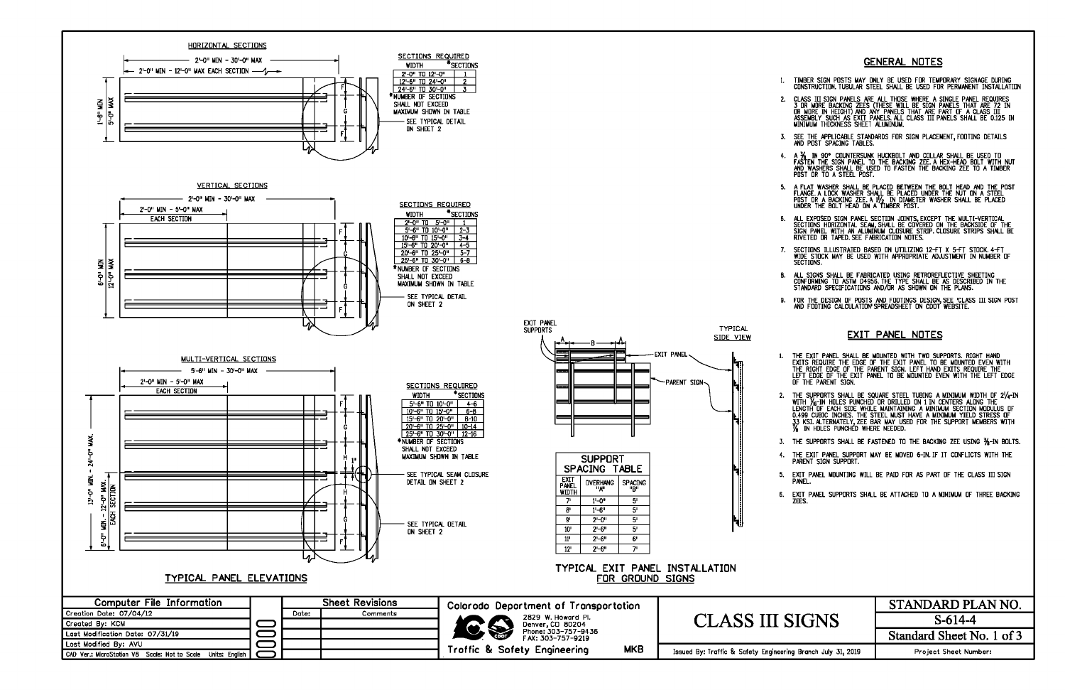

## **GENERAL NOTES**

- TIMBER SIGN POSTS MAY ONLY BE USED FOR TEMPORARY SIGNAGE DURING<br>CONSTRUCTION, TUBULAR STEEL SHALL BE USED FOR PERMANENT INSTALLATION
- CLASS III SIGN PANELS ARE ALL THOSE WHERE A SINGLE PANEL REQUIRES<br>3 OR MORE BACKING ZEES (THESE WILL BE SIGN PANELS THAT ARE 72 IN<br>OR MORE IN HEIGHT) AND ANY PANELS THAT ARE PART OF A CLASS III<br>ASSEMBLY SUCH AS EXIT PANELS 2.
- SEE THE APPLICABLE STANDARDS FOR SIGN PLACEMENT, FOOTING DETAILS<br>AND POST SPACING TABLES.  $\mathbf{3}$
- A 34 IN 90° COUNTERSUNK HUCKBOLT AND COLLAR SHALL BE USED TO<br>FASTEN THE SIGN PANEL TO THE BACKING ZEE A HEX-HEAD BOLT WITH NUT<br>AND WASHERS SHALL BE USED TO FASTEN THE BACKING ZEE TO A TIMBER  $4.$ POST OR TO A STEEL POST.
- 5. A FLAT WASHER SHALL BE PLACED BETWEEN THE BOLT HEAD AND THE POST<br>FLANGE A LOCK WASHER SHALL BE PLACED UNDER THE NUT ON A STEEL<br>POST OR A BACKING ZEE. A 1/2 IN DIAMETER WASHER SHALL BE PLACED<br>UNDER THE BOLT HEAD ON A TIM
- ALL EXPOSED SIGN PANEL SECTION JOINTS, EXCEPT THE MULTI-VERTICAL<br>SECTIONS HORIZONTAL SEAM, SHALL BE COVERED ON THE BACKSIDE OF THE<br>SIGN PAN<u>EL WITH AN ALUMINUM CLO</u>SU<u>RE ST</u>RIP CLOSURE STRIPS SHALL BE 6. RIVETED OR TAPED SEE FARRICATION NOTES.
- 7. SECTIONS ILLUSTRATED BASED ON UTILIZING 12-FT X 5-FT STOCK 4-FT<br>WIDE STOCK MAY BE USED WITH APPROPRIATE ADJUSTMENT IN NUMBER OF SECTIONS.
- ALL SIGNS SHALL BE FABRICATED USING RETROREFLECTIVE SHEETING<br>CONFORMING TO ASTM D4956.THE TYPE SHALL BE AS DESCRIBED IN THE<br>STANDARD SPECIFICATIONS AND/OR AS SHOWN ON THE PLANS. В.
- FOR THE DESIGN OF POSTS AND FOOTINGS DESIGN, SEE 'CLASS III SIGN POST<br>AND FOOTING CALCULATION'SPREADSHEET ON CDOT WEBSITE. 9.

## **EXIT PANEL NOTES**

THE EXIT PANEL SHALL BE MOUNTED WITH TWO SUPPORTS. RIGHT HAND<br>EXITS REQUIRE THE EDGE OF THE EXIT PANEL TO BE MOUNTED EVEN WITH<br>THE RIGHT EDGE OF THE PARENT SIGN. LEFT HAND EXITS REQUIRE THE LEFT EDGE OF THE EXIT PANEL TO BE MOUNTED EVEN WITH THE LEFT EDGE OF THE PARENT SIGN.

- 2. THE SUPPORTS SHALL BE SQUARE STEEL TUBING A MINIMUM WIDTH OF 2/4-IN WITH THE ... TAILY THE CACH SIDE WHILE MAINTAINING A MINIMUM SECTION MODULUS OF 0.499 CUBIC INCHES. THE STEEL MUST HAVE A MINIMUM SECTION MODULUS OF 0.499 CUBIC INCHES. THE STEEL MUST HAVE A MINIMUM YIELD STRESS OF 33 KSI. ALTERNATELY,
- 3. THE SUPPORTS SHALL BE FASTENED TO THE BACKING ZEE USING 1/8-IN BOLTS.
- 4. THE EXIT PANEL SUPPORT MAY BE MOVED 6-IN. IF IT CONFLICTS WITH THE PARENT SIGN SUPPORT.
- 5. EXIT PANEL MOUNTING WILL BE PAID FOR AS PART OF THE CLASS III SIGN PWEL.
- 6. EXIT PANEL SUPPORTS SHALL BE ATTACHED TO A MINIMUM OF THREE BACKING ZEES.

|                            | STANDARD PLAN NO.         |
|----------------------------|---------------------------|
| <b>SIGNS</b>               | $S-614-4$                 |
|                            | Standard Sheet No. 1 of 3 |
| ering Branch July 31, 2019 | Project Sheet Number:     |
|                            |                           |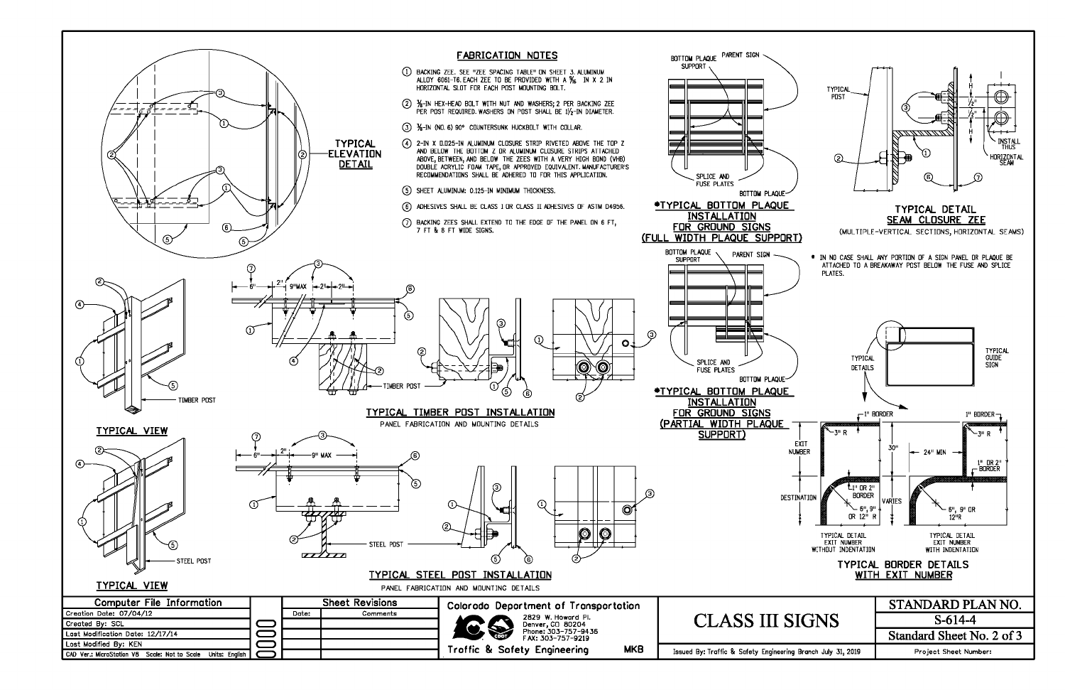